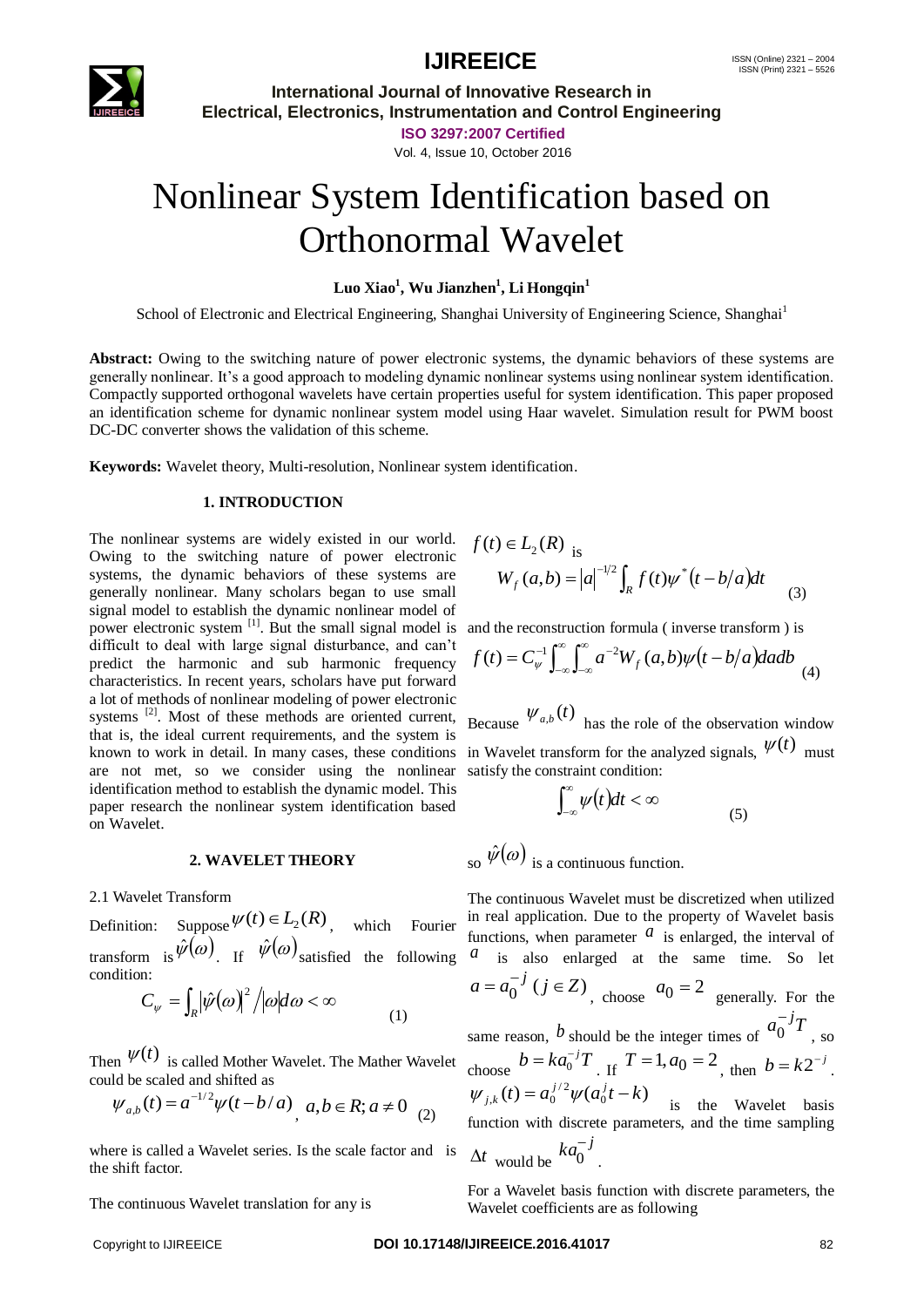



## **IJIREEICE** ISSN (Online)  $2321 - 2004$ <br>ISSN (Print)  $2321 - 5526$

**International Journal of Innovative Research in Electrical, Electronics, Instrumentation and Control Engineering**

**ISO 3297:2007 Certified**

Vol. 4, Issue 10, October 2016

# Nonlinear System Identification based on Orthonormal Wavelet

### **Luo Xiao<sup>1</sup> , Wu Jianzhen<sup>1</sup> , Li Hongqin<sup>1</sup>**

School of Electronic and Electrical Engineering, Shanghai University of Engineering Science, Shanghai<sup>1</sup>

**Abstract:** Owing to the switching nature of power electronic systems, the dynamic behaviors of these systems are generally nonlinear. It's a good approach to modeling dynamic nonlinear systems using nonlinear system identification. Compactly supported orthogonal wavelets have certain properties useful for system identification. This paper proposed an identification scheme for dynamic nonlinear system model using Haar wavelet. Simulation result for PWM boost DC-DC converter shows the validation of this scheme.

**Keywords:** Wavelet theory, Multi-resolution, Nonlinear system identification.

### **1. INTRODUCTION**

The nonlinear systems are widely existed in our world. Owing to the switching nature of power electronic systems, the dynamic behaviors of these systems are generally nonlinear. Many scholars began to use small signal model to establish the dynamic nonlinear model of power electronic system [1]. But the small signal model is and the reconstruction formula (inverse transform) is difficult to deal with large signal disturbance, and can't predict the harmonic and sub harmonic frequency characteristics. In recent years, scholars have put forward a lot of methods of nonlinear modeling of power electronic systems <sup>[2]</sup>. Most of these methods are oriented current, Because  $\psi_{a,b}(t)$  has the role of the observation window that is, the ideal current requirements, and the system is and is, the ideal current requirements, and the system is<br>known to work in detail. In many cases, these conditions in Wavelet transform for the analyzed signals,  $\psi(t)$  must are not met, so we consider using the nonlinear satisfy the constraint condition: identification method to establish the dynamic model. This paper research the nonlinear system identification based on Wavelet.

### **2. WAVELET THEORY**

2.1 Wavelet Transform

Definition: Suppose  $\psi(t) \in L_2(R)$ , which Fourier condition:

$$
C_{\psi} = \int_{R} |\hat{\psi}(\omega)|^2 / |\omega| d\omega < \infty
$$
 (1)

Then  $\psi(t)$  is called Mother Wavelet. The Mather Wavelet could be scaled and shifted as

$$
\psi_{a,b}(t) = a^{-1/2}\psi(t-b/a), a,b \in R; a \neq 0
$$
 (2)

where is called a Wavelet series. Is the scale factor and is the shift factor.

The continuous Wavelet translation for any is

$$
f(t) \in L_2(R)
$$
  
\n
$$
W_f(a,b) = |a|^{-1/2} \int_R f(t) \psi^*(t - b/a) dt
$$
\n(3)

$$
f(t) = C_{\psi}^{-1} \int_{-\infty}^{\infty} \int_{-\infty}^{\infty} a^{-2} W_f(a, b) \psi(t - b/a) da db
$$
 (4)

$$
\int_{-\infty}^{\infty} \psi(t)dt < \infty \tag{5}
$$

so  $\hat{\psi}(\omega)$  is a continuous function.

transform is  $\hat{\psi}(\omega)$ . If  $\hat{\psi}(\omega)$  satisfied the following  $\alpha$  is also enlarged at the same time. So let The continuous Wavelet must be discretized when utilized in real application. Due to the property of Wavelet basis functions, when parameter  $\alpha$  is enlarged, the interval of  $a = a_0^{-j}$   $(j \in \mathbb{Z})$ , choose  $a_0 = 2$  generally. For the same reason, *b* should be the integer times of  $a_0^{-j}$ *T*  $0^{-1}$ , so choose  $b = ka_0^{-j}T$ . If  $T = 1$ ,  $a_0 = 2$ , then  $b = k2^{-j}$ .  $(t) = a_0^{j/2} \psi(a_0^j t - k)$ / 2  $\psi_{j,k}(t) = a_0^{j/2} \psi(a_0^j t - k)$  is the Wavelet basis function with discrete parameters, and the time sampling *j*

$$
\Delta t \text{ would be } k a_0^{-j}.
$$

For a Wavelet basis function with discrete parameters, the Wavelet coefficients are as following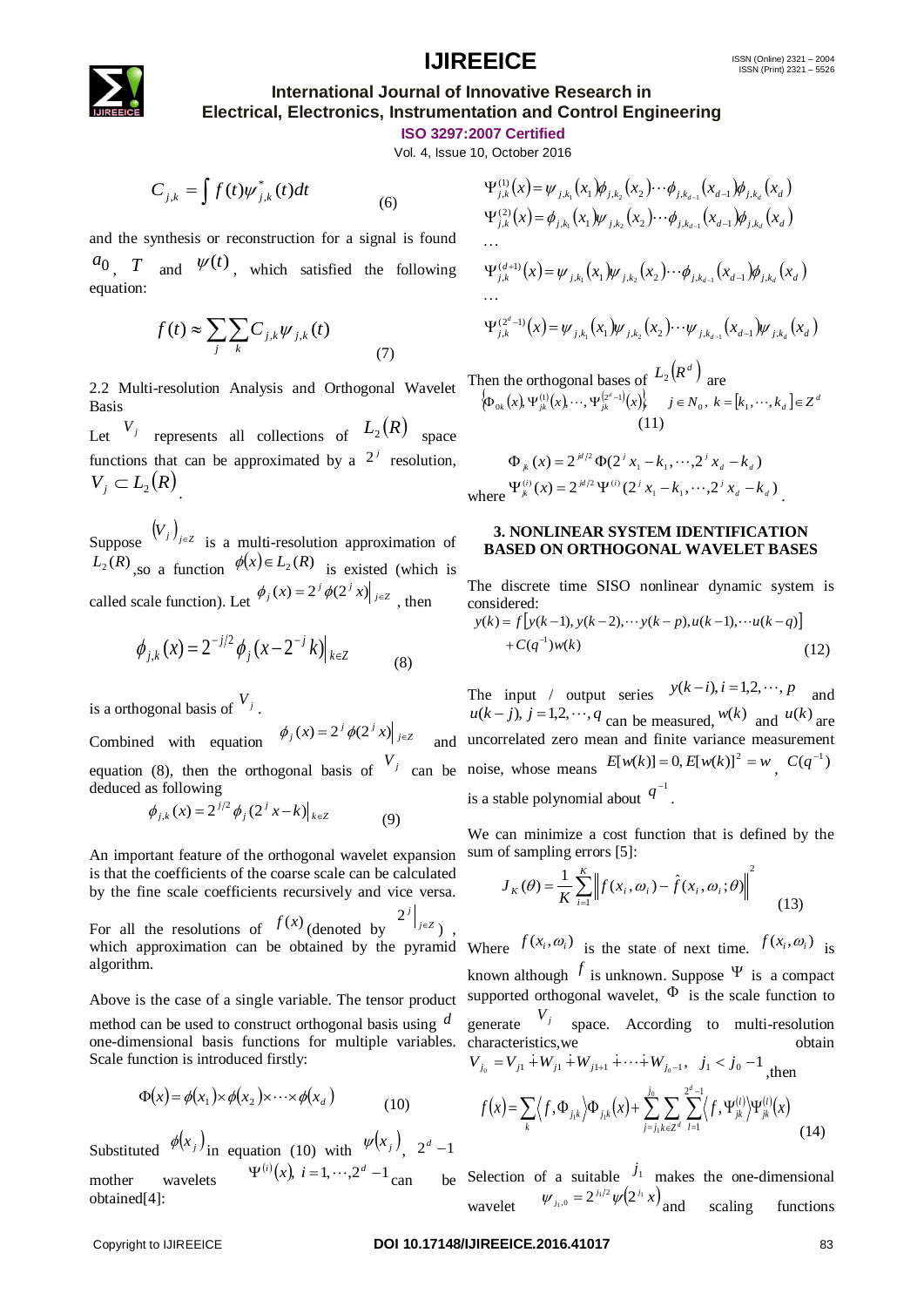### **IJIREEICE** ISSN (Online)  $2321 - 2004$ <br>ISSN (Print)  $2321 - 5526$

### **International Journal of Innovative Research in Electrical, Electronics, Instrumentation and Control Engineering**

**ISO 3297:2007 Certified**

Vol. 4, Issue 10, October 2016

$$
C_{j,k} = \int f(t)\psi_{j,k}^*(t)dt
$$
 (6)

and the synthesis or reconstruction for a signal is found  $a_0$ , *T* and  $\psi(t)$ , which satisfied the following equation:

$$
f(t) \approx \sum_{j} \sum_{k} C_{j,k} \psi_{j,k}(t)
$$
 (7)

2.2 Multi-resolution Analysis and Orthogonal Wavelet Basis

Let  $V_j$  represents all collections of  $L_2(R)$  space  $V_j$ functions that can be approximated by a  $2^j$  resolution,  $V_j \subset L_2(R)$ 

Suppose  $(V_j)_{j \in \mathbb{Z}}$  is a multi-resolution approximation of  $L_2(R)$ , so a function  $\phi(x) \in L_2(R)$  is existed (which is called scale function). Let  $\phi_j(x) = 2^j \phi(2^j x) \Big|_{j \in \mathbb{Z}}$ , then

$$
\phi_{j,k}(x) = 2^{-j/2} \phi_j(x - 2^{-j}k)|_{k \in \mathbb{Z}}
$$
 (8)

is a orthogonal basis of  $V_j$ .

equation (8), then the orthogonal basis of  $V_j$  can be noise, whose means  $E[w(k)] = 0, E[w(k)]^2 = w$ ,  $C(q^{-1})$ deduced as following

$$
\phi_{j,k}(x) = 2^{j/2} \phi_j (2^j x - k)|_{k \in \mathbb{Z}}
$$
 (9)

An important feature of the orthogonal wavelet expansion is that the coefficients of the coarse scale can be calculated by the fine scale coefficients recursively and vice versa.

For all the resolutions of  $f(x)$  (denoted by  $2f(x)$ *j*  $2^{j}\Big|_{j\infty}$ ) , which approximation can be obtained by the pyramid Where  $f(x_i, \omega_i)$  is the state of next time.  $f(x_i, \omega_i)$  is algorithm.

Above is the case of a single variable. The tensor product method can be used to construct orthogonal basis using *d* one-dimensional basis functions for multiple variables. characteristics,we obtain Scale function is introduced firstly:

$$
\Phi(x) = \phi(x_1) \times \phi(x_2) \times \cdots \times \phi(x_d)
$$
\n(10)

Substituted  $\phi(x_j)$  in equation (10) with  $\psi(x_j)$ ,  $2^d - 1$ mother wavelets  $\Psi^{(i)}(x)$ ,  $i = 1, \dots, 2^d - 1$  can be

$$
\Psi_{j,k}^{(1)}(x) = \psi_{j,k_1}(x_1) \phi_{j,k_2}(x_2) \cdots \phi_{j,k_{d-1}}(x_{d-1}) \phi_{j,k_d}(x_d)
$$
  
\n
$$
\Psi_{j,k}^{(2)}(x) = \phi_{j,k_1}(x_1) \psi_{j,k_2}(x_2) \cdots \phi_{j,k_{d-1}}(x_{d-1}) \phi_{j,k_d}(x_d)
$$
  
\n...  
\n
$$
\Psi_{j,k}^{(d+1)}(x) = \psi_{j,k_1}(x_1) \psi_{j,k_2}(x_2) \cdots \phi_{j,k_{d-1}}(x_{d-1}) \phi_{j,k_d}(x_d)
$$
  
\n...  
\n
$$
\Psi_{j,k}^{(2^d-1)}(x) = \psi_{j,k_1}(x_1) \psi_{j,k_2}(x_2) \cdots \psi_{j,k_{d-1}}(x_{d-1}) \psi_{j,k_d}(x_d)
$$

Then the orthogonal bases of  $L_2(R^d)$  are  $\left\{\Phi_{0k}(x) \Psi_{jk}^{(1)}(x), \cdots, \Psi_{jk}^{(2^d-1)}(x)\right\}$   $j \in N_0, k = [k_1, \cdots, k_d] \in \mathbb{Z}^d$ (11)

$$
\Phi_{jk}(x) = 2^{j\ell/2} \Phi(2^j x_1 - k_1, \dots, 2^j x_d - k_d)
$$
  
where  $\Psi_{jk}^{(i)}(x) = 2^{j\ell/2} \Psi^{(i)}(2^j x_1 - k_1, \dots, 2^j x_d - k_d)$ .

#### **3. NONLINEAR SYSTEM IDENTIFICATION BASED ON ORTHOGONAL WAVELET BASES**

The discrete time SISO nonlinear dynamic system is considered:

$$
y(k) = f[y(k-1), y(k-2), \cdots y(k-p), u(k-1), \cdots u(k-q)] + C(q^{-1})w(k)
$$
\n(12)

Combined with equation  $\phi_j(x) = 2^j \phi(2^j x) \Big|_{j \in \mathbb{Z}}$  and uncorrelated zero mean and finite variance measurement The input / output series  $y(k-i)$ ,  $i = 1,2,\dots, p$  and  $u(k-j)$ ,  $j = 1,2,\dots, q$  can be measured,  $w(k)$  and  $u(k)$  are is a stable polynomial about  $q^{-1}$ .

> We can minimize a cost function that is defined by the sum of sampling errors [5]:

$$
J_K(\theta) = \frac{1}{K} \sum_{i=1}^{K} \left\| f(x_i, \omega_i) - \hat{f}(x_i, \omega_i; \theta) \right\|^2 \tag{13}
$$

C<sub>o</sub>x =  $\int f(D)w_{r,s}(t)dt$ <br>
and the symbolic or measurementic fire at signal is found  $w_{r,s}^2(t) = \phi_{r,s}(t_1)w_{r,s}(t_2) \cdots \phi_{r,s}(t_{r,s})\phi_{r,s}(t_{r,s})$ <br>
on T and  $\psi^{(t)}(t)$ , which satisfies the following  $w_{r,s}^{\text{min}}(t) = \phi_{r,s}(t_1)w_{$ and the symbolic or recordunities for a signal is formula  $V_{ij}^{\alpha}(t) = V_{j,\alpha}(\kappa_i, \mathbf{k}_i, \mathbf{k}_i, \mathbf{k}_i, \mathbf{k}_i, \mathbf{k}_i, \mathbf{k}_i, \mathbf{k}_i, \mathbf{k}_i, \mathbf{k}_i, \mathbf{k}_i, \mathbf{k}_i, \mathbf{k}_i, \mathbf{k}_i, \mathbf{k}_i, \mathbf{k}_i, \mathbf{k}_i, \mathbf{k}_i, \mathbf{k}_i, \mathbf{k}_i, \mathbf{k}_i,$ known although  $f$  is unknown. Suppose  $\Psi$  is a compact supported orthogonal wavelet,  $\Phi$  is the scale function to generate  $V_j$  space. According to multi-resolution  $V_{j_0} = V_{j1} + W_{j1} + W_{j1+1} + \cdots + W_{j_0-1}, \quad j_1 < j_0 - 1$ <sub>, then</sub>  $\overline{a}$ 0  $2^u -1$ *j l l d*

$$
f(x) = \sum_{k} \langle f, \Phi_{j,k} \rangle \Phi_{j,k}(x) + \sum_{j=j_1}^{2} \sum_{k \in \mathbb{Z}^d} \sum_{l=1}^{n} \langle f, \Psi_{jk}^{(l)} \rangle \Psi_{jk}^{(l)}(x)
$$
(14)

Selection of a suitable  $j_1$  makes the one-dimensional wavelet  $W_{j_1,0} = 2^{j_1/2} \psi(2^{j_1} x)$ scaling functions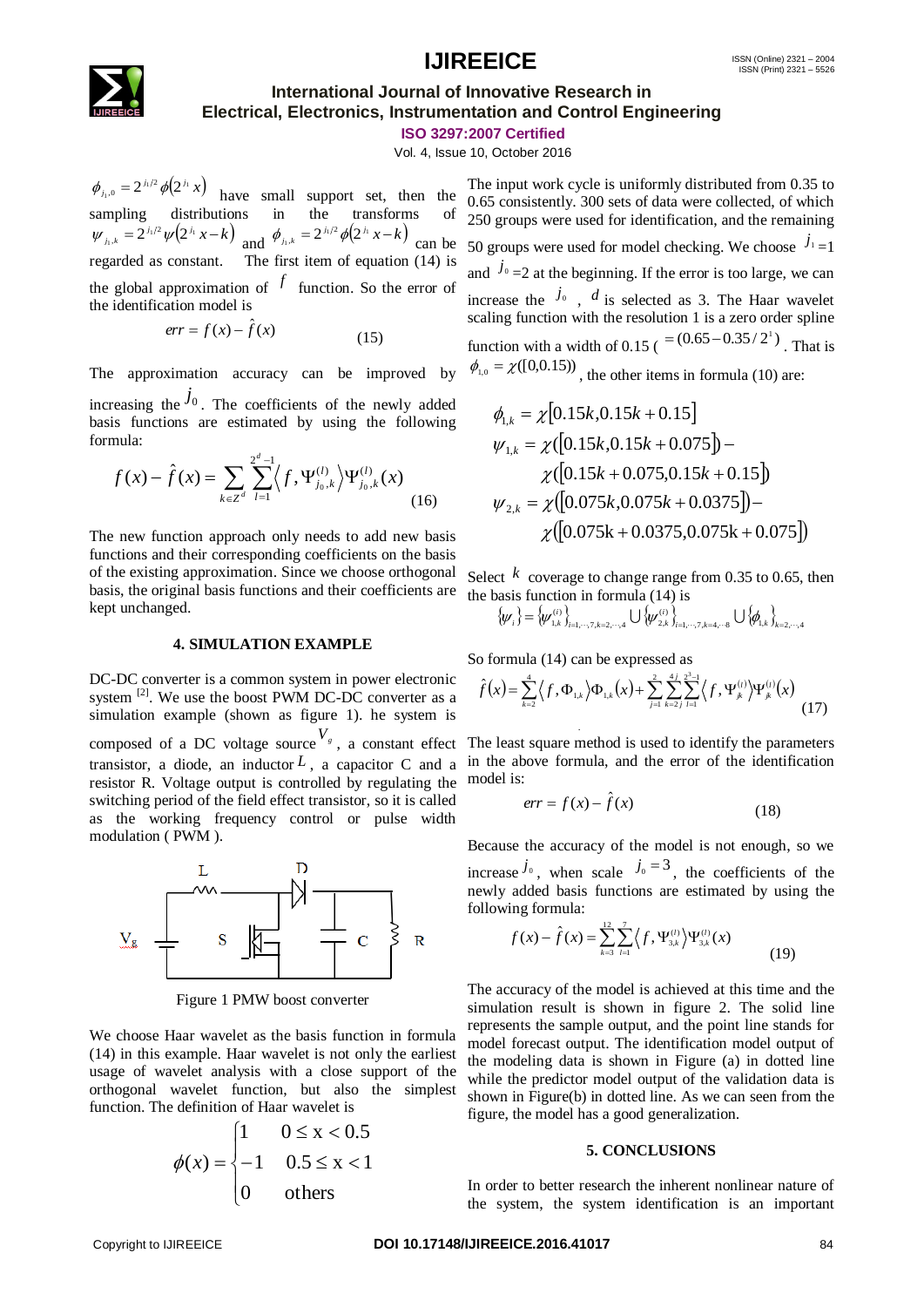### **IJIREEICE** ISSN (Online)  $2321 - 2004$ <br>ISSN (Print)  $2321 - 5526$



### **International Journal of Innovative Research in Electrical, Electronics, Instrumentation and Control Engineering**

**ISO 3297:2007 Certified**

Vol. 4, Issue 10, October 2016

 $\phi_{j_1,0} = 2^{j_1/2} \phi(2^{j_1} x)$  have small support set, then the sampling distributions in the transforms of  $\psi_{j_1,k} = 2^{j_1/2} \psi(2^{j_1} x - k)$  and  $\phi_{j_1,k} = 2^{j_1/2} \phi(2^{j_1} x - k)$  can be regarded as constant. The first item of equation (14) is the global approximation of  $f$  function. So the error of the identification model is

$$
err = f(x) - \hat{f}(x)
$$
 (15)

The approximation accuracy can be improved by increasing the  $j_0$ . The coefficients of the newly added basis functions are estimated by using the following formula:

$$
f(x) - \hat{f}(x) = \sum_{k \in \mathbb{Z}^d} \sum_{l=1}^{2^d - 1} \langle f, \Psi_{j_0, k}^{(l)} \rangle \Psi_{j_0, k}^{(l)}(x)
$$
(16)

The new function approach only needs to add new basis functions and their corresponding coefficients on the basis of the existing approximation. Since we choose orthogonal basis, the original basis functions and their coefficients are kept unchanged.

#### **4. SIMULATION EXAMPLE**

DC-DC converter is a common system in power electronic system  $^{[2]}$ . We use the boost PWM DC-DC converter as a simulation example (shown as figure 1). he system is composed of a DC voltage source  $V_s$ , a constant effect The least square method is used to identify the parameters transistor, a diode, an inductor  $L$ , a capacitor C and a resistor R. Voltage output is controlled by regulating the switching period of the field effect transistor, so it is called as the working frequency control or pulse width modulation ( PWM ).



Figure 1 PMW boost converter

We choose Haar wavelet as the basis function in formula (14) in this example. Haar wavelet is not only the earliest usage of wavelet analysis with a close support of the orthogonal wavelet function, but also the simplest function. The definition of Haar wavelet is

$$
\phi(x) = \begin{cases} 1 & 0 \le x < 0.5 \\ -1 & 0.5 \le x < 1 \\ 0 & \text{others} \end{cases}
$$

 $\Phi_{\rm A} = x^{\alpha/2}(\delta) - 1$  and singurate in the the internet was the internet with entirely the terminal internet of the internet of the internet of the singurate internet is a second of  $\sigma$   $\sim 1^{\circ}(\sigma^2 \times \sigma^2)$  and  $\sigma$ , The input work cycle is uniformly distributed from 0.35 to 0.65 consistently. 300 sets of data were collected, of which 250 groups were used for identification, and the remaining 50 groups were used for model checking. We choose  $j_{1}$  = 1 and  $j_0 = 2$  at the beginning. If the error is too large, we can increase the  $j_0$ ,  $d$  is selected as 3. The Haar wavelet scaling function with the resolution 1 is a zero order spline function with a width of 0.15 ( $=(0.65-0.35/2^{1})$ ). That is  $\phi_{1,0} = \chi([0,0.15))$ , the other items in formula (10) are:

$$
\phi_{1,k} = \chi [0.15k, 0.15k + 0.15]
$$
\n
$$
\psi_{1,k} = \chi ([0.15k, 0.15k + 0.075]) - \chi ([0.15k + 0.075, 0.15k + 0.15])
$$
\n
$$
\psi_{2,k} = \chi ([0.075k, 0.075k + 0.0375]) - \chi ([0.075k + 0.0375, 0.075k + 0.075])
$$

Select  $k$  coverage to change range from 0.35 to 0.65, then the basis function in formula (14) is

$$
\{\psi_i\} = \{\psi_{1,k}^{(i)}\}_{i=1,\cdots,7,k=2,\cdots,4} \cup \{\psi_{2,k}^{(i)}\}_{i=1,\cdots,7,k=4,\cdots,8} \cup \{\phi_{1,k}\}_{k=2,\cdots,4}
$$

So formula (14) can be expressed as

$$
\hat{f}(x) = \sum_{k=2}^{4} \langle f, \Phi_{1,k} \rangle \Phi_{1,k}(x) + \sum_{j=1}^{2} \sum_{k=2j}^{4j} \sum_{l=1}^{2^{3}-1} \langle f, \Psi_{jk}^{(l)} \rangle \Psi_{jk}^{(l)}(x)
$$
(17)

in the above formula, and the error of the identification model is:

$$
err = f(x) - \hat{f}(x)
$$
 (18)

Because the accuracy of the model is not enough, so we increase  $j_0$ , when scale  $j_0 = 3$ , the coefficients of the newly added basis functions are estimated by using the following formula:

$$
f(x) - \hat{f}(x) = \sum_{k=3}^{12} \sum_{l=1}^{7} \langle f, \Psi_{3,k}^{(l)} \rangle \Psi_{3,k}^{(l)}(x)
$$
(19)

The accuracy of the model is achieved at this time and the simulation result is shown in figure 2. The solid line represents the sample output, and the point line stands for model forecast output. The identification model output of the modeling data is shown in Figure (a) in dotted line while the predictor model output of the validation data is shown in Figure(b) in dotted line. As we can seen from the figure, the model has a good generalization.

#### **5. CONCLUSIONS**

In order to better research the inherent nonlinear nature of the system, the system identification is an important